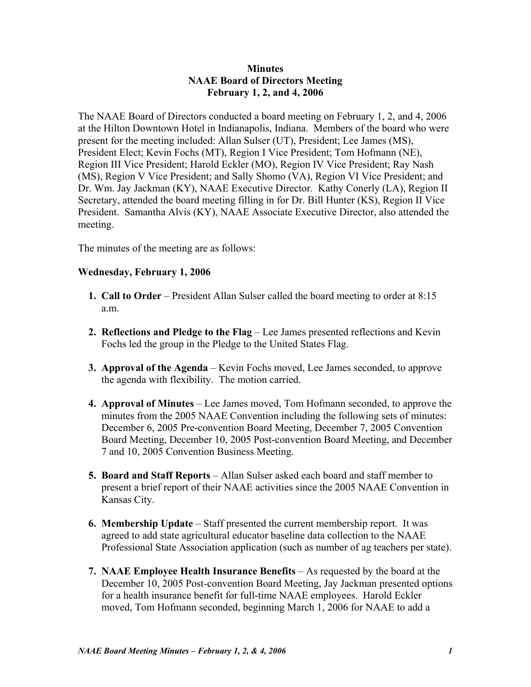## **Minutes NAAE Board of Directors Meeting February 1, 2, and 4, 2006**

The NAAE Board of Directors conducted a board meeting on February 1, 2, and 4, 2006 at the Hilton Downtown Hotel in Indianapolis, Indiana. Members of the board who were present for the meeting included: Allan Sulser (UT), President; Lee James (MS), President Elect; Kevin Fochs (MT), Region I Vice President; Tom Hofmann (NE), Region III Vice President; Harold Eckler (MO), Region IV Vice President; Ray Nash (MS), Region V Vice President; and Sally Shomo (VA), Region VI Vice President; and Dr. Wm. Jay Jackman (KY), NAAE Executive Director. Kathy Conerly (LA), Region II Secretary, attended the board meeting filling in for Dr. Bill Hunter (KS), Region II Vice President. Samantha Alvis (KY), NAAE Associate Executive Director, also attended the meeting.

The minutes of the meeting are as follows:

## **Wednesday, February 1, 2006**

- **1. Call to Order** President Allan Sulser called the board meeting to order at 8:15 a.m.
- **2. Reflections and Pledge to the Flag** Lee James presented reflections and Kevin Fochs led the group in the Pledge to the United States Flag.
- **3. Approval of the Agenda** Kevin Fochs moved, Lee James seconded, to approve the agenda with flexibility. The motion carried.
- **4. Approval of Minutes** Lee James moved, Tom Hofmann seconded, to approve the minutes from the 2005 NAAE Convention including the following sets of minutes: December 6, 2005 Pre-convention Board Meeting, December 7, 2005 Convention Board Meeting, December 10, 2005 Post-convention Board Meeting, and December 7 and 10, 2005 Convention Business Meeting.
- **5. Board and Staff Reports** Allan Sulser asked each board and staff member to present a brief report of their NAAE activities since the 2005 NAAE Convention in Kansas City.
- **6. Membership Update** Staff presented the current membership report. It was agreed to add state agricultural educator baseline data collection to the NAAE Professional State Association application (such as number of ag teachers per state).
- **7. NAAE Employee Health Insurance Benefits** As requested by the board at the December 10, 2005 Post-convention Board Meeting, Jay Jackman presented options for a health insurance benefit for full-time NAAE employees. Harold Eckler moved, Tom Hofmann seconded, beginning March 1, 2006 for NAAE to add a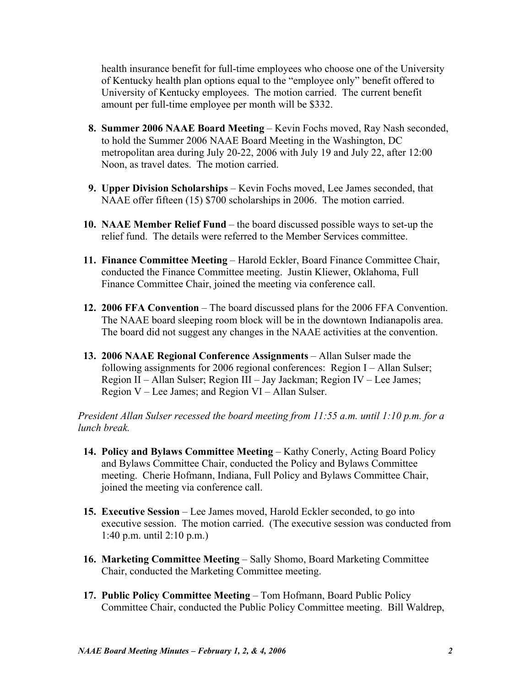health insurance benefit for full-time employees who choose one of the University of Kentucky health plan options equal to the "employee only" benefit offered to University of Kentucky employees. The motion carried. The current benefit amount per full-time employee per month will be \$332.

- **8. Summer 2006 NAAE Board Meeting** Kevin Fochs moved, Ray Nash seconded, to hold the Summer 2006 NAAE Board Meeting in the Washington, DC metropolitan area during July 20-22, 2006 with July 19 and July 22, after 12:00 Noon, as travel dates. The motion carried.
- **9. Upper Division Scholarships** Kevin Fochs moved, Lee James seconded, that NAAE offer fifteen (15) \$700 scholarships in 2006. The motion carried.
- **10. NAAE Member Relief Fund** the board discussed possible ways to set-up the relief fund. The details were referred to the Member Services committee.
- **11. Finance Committee Meeting** Harold Eckler, Board Finance Committee Chair, conducted the Finance Committee meeting. Justin Kliewer, Oklahoma, Full Finance Committee Chair, joined the meeting via conference call.
- **12. 2006 FFA Convention** The board discussed plans for the 2006 FFA Convention. The NAAE board sleeping room block will be in the downtown Indianapolis area. The board did not suggest any changes in the NAAE activities at the convention.
- **13. 2006 NAAE Regional Conference Assignments** Allan Sulser made the following assignments for 2006 regional conferences: Region I – Allan Sulser; Region II – Allan Sulser; Region III – Jay Jackman; Region IV – Lee James; Region V – Lee James; and Region VI – Allan Sulser.

*President Allan Sulser recessed the board meeting from 11:55 a.m. until 1:10 p.m. for a lunch break.* 

- **14. Policy and Bylaws Committee Meeting** Kathy Conerly, Acting Board Policy and Bylaws Committee Chair, conducted the Policy and Bylaws Committee meeting. Cherie Hofmann, Indiana, Full Policy and Bylaws Committee Chair, joined the meeting via conference call.
- **15. Executive Session** Lee James moved, Harold Eckler seconded, to go into executive session. The motion carried. (The executive session was conducted from 1:40 p.m. until 2:10 p.m.)
- **16. Marketing Committee Meeting** Sally Shomo, Board Marketing Committee Chair, conducted the Marketing Committee meeting.
- **17. Public Policy Committee Meeting** Tom Hofmann, Board Public Policy Committee Chair, conducted the Public Policy Committee meeting. Bill Waldrep,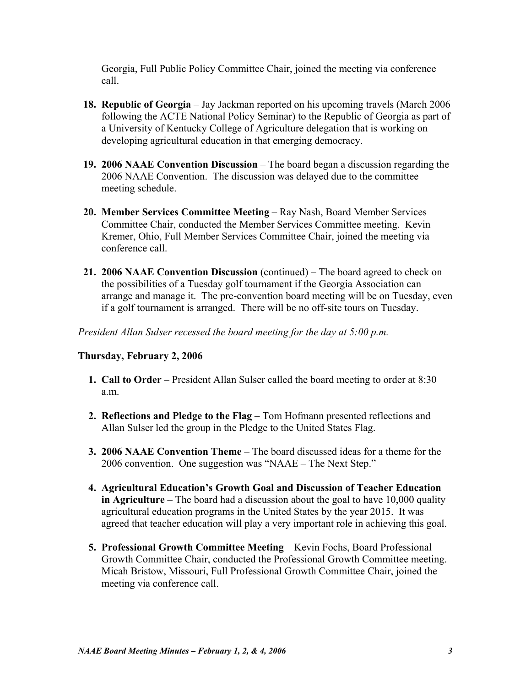Georgia, Full Public Policy Committee Chair, joined the meeting via conference call.

- **18. Republic of Georgia** Jay Jackman reported on his upcoming travels (March 2006 following the ACTE National Policy Seminar) to the Republic of Georgia as part of a University of Kentucky College of Agriculture delegation that is working on developing agricultural education in that emerging democracy.
- **19. 2006 NAAE Convention Discussion** The board began a discussion regarding the 2006 NAAE Convention. The discussion was delayed due to the committee meeting schedule.
- **20. Member Services Committee Meeting** Ray Nash, Board Member Services Committee Chair, conducted the Member Services Committee meeting. Kevin Kremer, Ohio, Full Member Services Committee Chair, joined the meeting via conference call.
- **21. 2006 NAAE Convention Discussion** (continued) The board agreed to check on the possibilities of a Tuesday golf tournament if the Georgia Association can arrange and manage it. The pre-convention board meeting will be on Tuesday, even if a golf tournament is arranged. There will be no off-site tours on Tuesday.

*President Allan Sulser recessed the board meeting for the day at 5:00 p.m.* 

## **Thursday, February 2, 2006**

- **1. Call to Order** President Allan Sulser called the board meeting to order at 8:30 a.m.
- **2. Reflections and Pledge to the Flag** Tom Hofmann presented reflections and Allan Sulser led the group in the Pledge to the United States Flag.
- **3. 2006 NAAE Convention Theme** The board discussed ideas for a theme for the 2006 convention. One suggestion was "NAAE – The Next Step."
- **4. Agricultural Education's Growth Goal and Discussion of Teacher Education in Agriculture** – The board had a discussion about the goal to have 10,000 quality agricultural education programs in the United States by the year 2015. It was agreed that teacher education will play a very important role in achieving this goal.
- **5. Professional Growth Committee Meeting** Kevin Fochs, Board Professional Growth Committee Chair, conducted the Professional Growth Committee meeting. Micah Bristow, Missouri, Full Professional Growth Committee Chair, joined the meeting via conference call.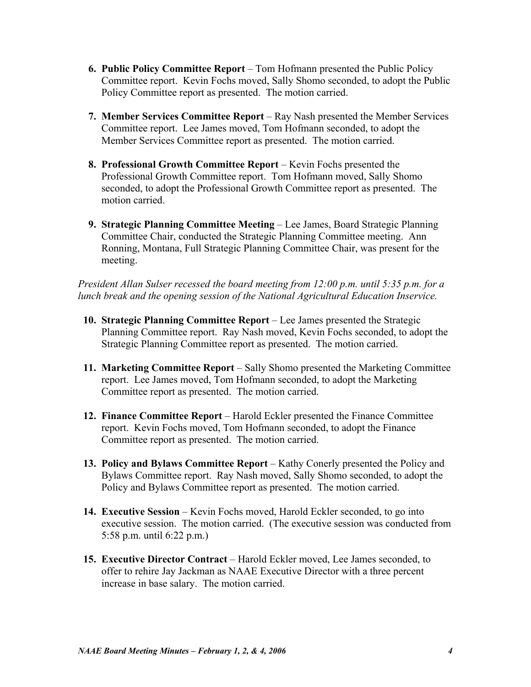- **6. Public Policy Committee Report** Tom Hofmann presented the Public Policy Committee report. Kevin Fochs moved, Sally Shomo seconded, to adopt the Public Policy Committee report as presented. The motion carried.
- **7. Member Services Committee Report** Ray Nash presented the Member Services Committee report. Lee James moved, Tom Hofmann seconded, to adopt the Member Services Committee report as presented. The motion carried.
- **8. Professional Growth Committee Report** Kevin Fochs presented the Professional Growth Committee report. Tom Hofmann moved, Sally Shomo seconded, to adopt the Professional Growth Committee report as presented. The motion carried.
- **9. Strategic Planning Committee Meeting** Lee James, Board Strategic Planning Committee Chair, conducted the Strategic Planning Committee meeting. Ann Ronning, Montana, Full Strategic Planning Committee Chair, was present for the meeting.

*President Allan Sulser recessed the board meeting from 12:00 p.m. until 5:35 p.m. for a lunch break and the opening session of the National Agricultural Education Inservice.* 

- **10. Strategic Planning Committee Report** Lee James presented the Strategic Planning Committee report. Ray Nash moved, Kevin Fochs seconded, to adopt the Strategic Planning Committee report as presented. The motion carried.
- **11. Marketing Committee Report** Sally Shomo presented the Marketing Committee report. Lee James moved, Tom Hofmann seconded, to adopt the Marketing Committee report as presented. The motion carried.
- **12. Finance Committee Report** Harold Eckler presented the Finance Committee report. Kevin Fochs moved, Tom Hofmann seconded, to adopt the Finance Committee report as presented. The motion carried.
- **13. Policy and Bylaws Committee Report** Kathy Conerly presented the Policy and Bylaws Committee report. Ray Nash moved, Sally Shomo seconded, to adopt the Policy and Bylaws Committee report as presented. The motion carried.
- **14. Executive Session** Kevin Fochs moved, Harold Eckler seconded, to go into executive session. The motion carried. (The executive session was conducted from 5:58 p.m. until 6:22 p.m.)
- **15. Executive Director Contract** Harold Eckler moved, Lee James seconded, to offer to rehire Jay Jackman as NAAE Executive Director with a three percent increase in base salary. The motion carried.